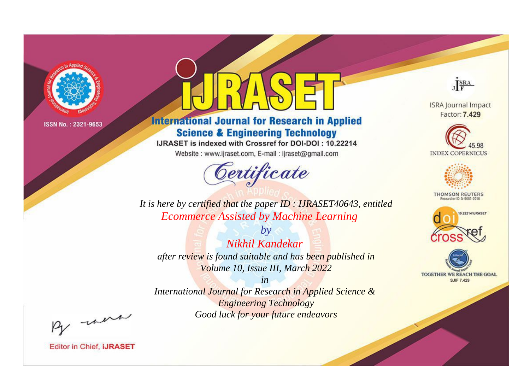

# **International Journal for Research in Applied Science & Engineering Technology**

IJRASET is indexed with Crossref for DOI-DOI: 10.22214

Website: www.ijraset.com, E-mail: ijraset@gmail.com



JERA

**ISRA Journal Impact** Factor: 7.429





**THOMSON REUTERS** 



TOGETHER WE REACH THE GOAL **SJIF 7.429** 

*It is here by certified that the paper ID : IJRASET40643, entitled Ecommerce Assisted by Machine Learning*

*Nikhil Kandekar after review is found suitable and has been published in Volume 10, Issue III, March 2022*

*by*

*in* 

*International Journal for Research in Applied Science & Engineering Technology Good luck for your future endeavors*

By morn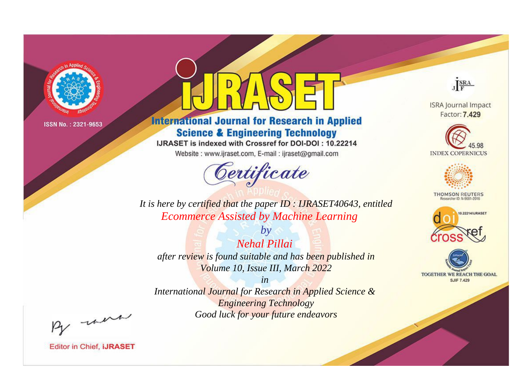

# **International Journal for Research in Applied Science & Engineering Technology**

IJRASET is indexed with Crossref for DOI-DOI: 10.22214

Website: www.ijraset.com, E-mail: ijraset@gmail.com



JERA

**ISRA Journal Impact** Factor: 7.429





**THOMSON REUTERS** 



TOGETHER WE REACH THE GOAL **SJIF 7.429** 

*It is here by certified that the paper ID : IJRASET40643, entitled Ecommerce Assisted by Machine Learning*

*Nehal Pillai after review is found suitable and has been published in Volume 10, Issue III, March 2022*

*by*

*in* 

*International Journal for Research in Applied Science & Engineering Technology Good luck for your future endeavors*

By morn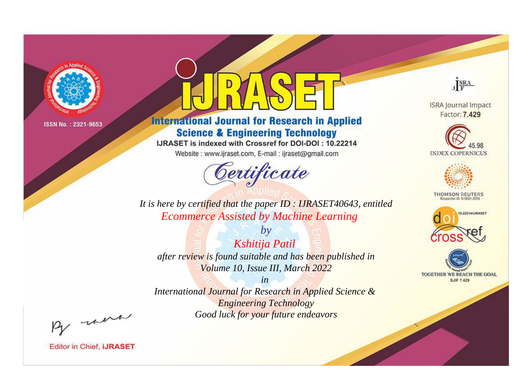

# **International Journal for Research in Applied Science & Engineering Technology**

IJRASET is indexed with Crossref for DOI-DOI: 10.22214

Website: www.ijraset.com, E-mail: ijraset@gmail.com



JERA

**ISRA Journal Impact** Factor: 7.429





**THOMSON REUTERS** 



TOGETHER WE REACH THE GOAL **SJIF 7.429** 

It is here by certified that the paper ID: IJRASET40643, entitled **Ecommerce Assisted by Machine Learning** 

Kshitija Patil after review is found suitable and has been published in Volume 10, Issue III, March 2022

 $by$ 

 $in$ International Journal for Research in Applied Science & **Engineering Technology** Good luck for your future endeavors

By morn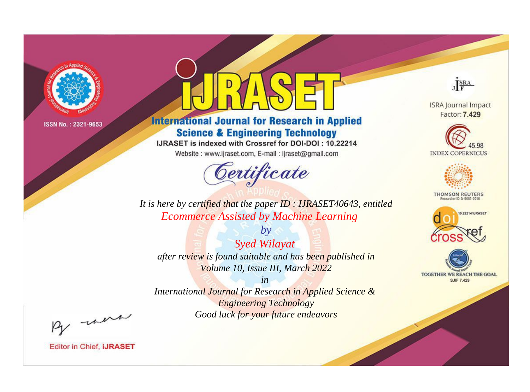

# **International Journal for Research in Applied Science & Engineering Technology**

IJRASET is indexed with Crossref for DOI-DOI: 10.22214

Website: www.ijraset.com, E-mail: ijraset@gmail.com



JERA

**ISRA Journal Impact** Factor: 7.429





**THOMSON REUTERS** 



TOGETHER WE REACH THE GOAL **SJIF 7.429** 

*It is here by certified that the paper ID : IJRASET40643, entitled Ecommerce Assisted by Machine Learning*

*by Syed Wilayat after review is found suitable and has been published in Volume 10, Issue III, March 2022*

*in* 

*International Journal for Research in Applied Science & Engineering Technology Good luck for your future endeavors*

By morn